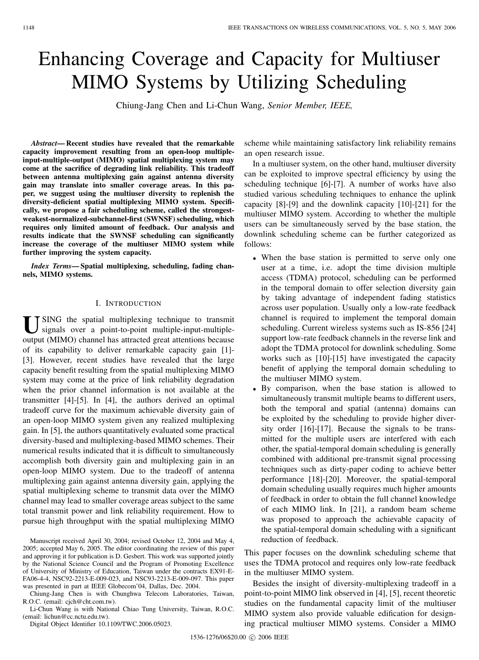# Enhancing Coverage and Capacity for Multiuser MIMO Systems by Utilizing Scheduling

Chiung-Jang Chen and Li-Chun Wang, *Senior Member, IEEE,*

*Abstract***— Recent studies have revealed that the remarkable capacity improvement resulting from an open-loop multipleinput-multiple-output (MIMO) spatial multiplexing system may come at the sacrifice of degrading link reliability. This tradeoff between antenna multiplexing gain against antenna diversity gain may translate into smaller coverage areas. In this paper, we suggest using the multiuser diversity to replenish the diversity-deficient spatial multiplexing MIMO system. Specifically, we propose a fair scheduling scheme, called the strongestweakest-normalized-subchannel-first (SWNSF) scheduling, which requires only limited amount of feedback. Our analysis and results indicate that the SWNSF scheduling can significantly increase the coverage of the multiuser MIMO system while further improving the system capacity.**

*Index Terms***— Spatial multiplexing, scheduling, fading channels, MIMO systems.**

#### I. INTRODUCTION

**I** JSING the spatial multiplexing technique to transmit signals over a point-to-point multiple-input-multipleoutput (MIMO) channel has attracted great attentions because of its capability to deliver remarkable capacity gain [1]- [3]. However, recent studies have revealed that the large capacity benefit resulting from the spatial multiplexing MIMO system may come at the price of link reliability degradation when the prior channel information is not available at the transmitter [4]-[5]. In [4], the authors derived an optimal tradeoff curve for the maximum achievable diversity gain of an open-loop MIMO system given any realized multiplexing gain. In [5], the authors quantitatively evaluated some practical diversity-based and multiplexing-based MIMO schemes. Their numerical results indicated that it is difficult to simultaneously accomplish both diversity gain and multiplexing gain in an open-loop MIMO system. Due to the tradeoff of antenna multiplexing gain against antenna diversity gain, applying the spatial multiplexing scheme to transmit data over the MIMO channel may lead to smaller coverage areas subject to the same total transmit power and link reliability requirement. How to pursue high throughput with the spatial multiplexing MIMO

Manuscript received April 30, 2004; revised October 12, 2004 and May 4, 2005; accepted May 6, 2005. The editor coordinating the review of this paper and approving it for publication is D. Gesbert. This work was supported jointly by the National Science Council and the Program of Promoting Excellence of University of Ministry of Education, Taiwan under the contracts EX91-E-FA06-4-4, NSC92-2213-E-009-023, and NSC93-2213-E-009-097. This paper was presented in part at IEEE Globecom'04, Dallas, Dec. 2004.

Chiung-Jang Chen is with Chunghwa Telecom Laboratories, Taiwan, R.O.C. (email: cjch@cht.com.tw).

Li-Chun Wang is with National Chiao Tung University, Taiwan, R.O.C. (email: lichun@cc.nctu.edu.tw).

Digital Object Identifier 10.1109/TWC.2006.05023.

scheme while maintaining satisfactory link reliability remains an open research issue.

In a multiuser system, on the other hand, multiuser diversity can be exploited to improve spectral efficiency by using the scheduling technique [6]-[7]. A number of works have also studied various scheduling techniques to enhance the uplink capacity [8]-[9] and the downlink capacity [10]-[21] for the multiuser MIMO system. According to whether the multiple users can be simultaneously served by the base station, the downlink scheduling scheme can be further categorized as follows:

- When the base station is permitted to serve only one user at a time, i.e. adopt the time division multiple access (TDMA) protocol, scheduling can be performed in the temporal domain to offer selection diversity gain by taking advantage of independent fading statistics across user population. Usually only a low-rate feedback channel is required to implement the temporal domain scheduling. Current wireless systems such as IS-856 [24] support low-rate feedback channels in the reverse link and adopt the TDMA protocol for downlink scheduling. Some works such as [10]-[15] have investigated the capacity benefit of applying the temporal domain scheduling to the multiuser MIMO system.
- By comparison, when the base station is allowed to simultaneously transmit multiple beams to different users, both the temporal and spatial (antenna) domains can be exploited by the scheduling to provide higher diversity order [16]-[17]. Because the signals to be transmitted for the multiple users are interfered with each other, the spatial-temporal domain scheduling is generally combined with additional pre-transmit signal processing techniques such as dirty-paper coding to achieve better performance [18]-[20]. Moreover, the spatial-temporal domain scheduling usually requires much higher amounts of feedback in order to obtain the full channel knowledge of each MIMO link. In [21], a random beam scheme was proposed to approach the achievable capacity of the spatial-temporal domain scheduling with a significant reduction of feedback.

This paper focuses on the downlink scheduling scheme that uses the TDMA protocol and requires only low-rate feedback in the multiuser MIMO system.

Besides the insight of diversity-multiplexing tradeoff in a point-to-point MIMO link observed in [4], [5], recent theoretic studies on the fundamental capacity limit of the multiuser MIMO system also provide valuable edification for designing practical multiuser MIMO systems. Consider a MIMO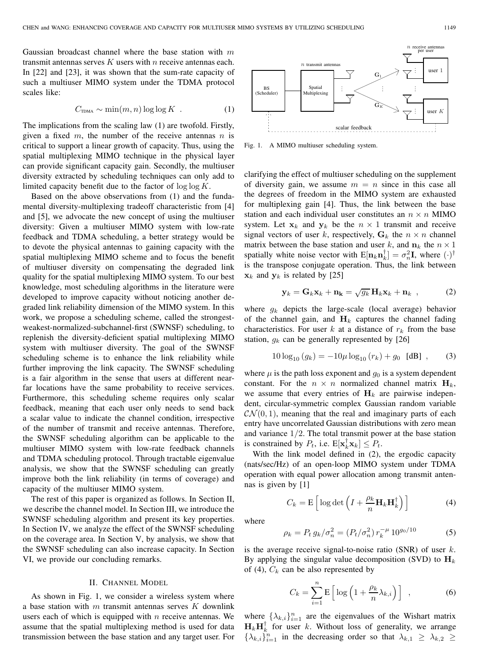Gaussian broadcast channel where the base station with  $m$ transmit antennas serves  $K$  users with  $n$  receive antennas each. In [22] and [23], it was shown that the sum-rate capacity of such a multiuser MIMO system under the TDMA protocol scales like:

$$
C_{\text{TDMA}} \sim \min(m, n) \log \log K \tag{1}
$$

The implications from the scaling law (1) are twofold. Firstly, given a fixed  $m$ , the number of the receive antennas  $n$  is critical to support a linear growth of capacity. Thus, using the spatial multiplexing MIMO technique in the physical layer can provide significant capacity gain. Secondly, the multiuser diversity extracted by scheduling techniques can only add to limited capacity benefit due to the factor of  $\log \log K$ .

Based on the above observations from (1) and the fundamental diversity-multiplexing tradeoff characteristic from [4] and [5], we advocate the new concept of using the multiuser diversity: Given a multiuser MIMO system with low-rate feedback and TDMA scheduling, a better strategy would be to devote the physical antennas to gaining capacity with the spatial multiplexing MIMO scheme and to focus the benefit of multiuser diversity on compensating the degraded link quality for the spatial multiplexing MIMO system. To our best knowledge, most scheduling algorithms in the literature were developed to improve capacity without noticing another degraded link reliability dimension of the MIMO system. In this work, we propose a scheduling scheme, called the strongestweakest-normalized-subchannel-first (SWNSF) scheduling, to replenish the diversity-deficient spatial multiplexing MIMO system with multiuser diversity. The goal of the SWNSF scheduling scheme is to enhance the link reliability while further improving the link capacity. The SWNSF scheduling is a fair algorithm in the sense that users at different nearfar locations have the same probability to receive services. Furthermore, this scheduling scheme requires only scalar feedback, meaning that each user only needs to send back a scalar value to indicate the channel condition, irrespective of the number of transmit and receive antennas. Therefore, the SWNSF scheduling algorithm can be applicable to the multiuser MIMO system with low-rate feedback channels and TDMA scheduling protocol. Through tractable eigenvalue analysis, we show that the SWNSF scheduling can greatly improve both the link reliability (in terms of coverage) and capacity of the multiuser MIMO system.

The rest of this paper is organized as follows. In Section II, we describe the channel model. In Section III, we introduce the SWNSF scheduling algorithm and present its key properties. In Section IV, we analyze the effect of the SWNSF scheduling on the coverage area. In Section V, by analysis, we show that the SWNSF scheduling can also increase capacity. In Section VI, we provide our concluding remarks.

### II. CHANNEL MODEL

As shown in Fig. 1, we consider a wireless system where a base station with  $m$  transmit antennas serves  $K$  downlink users each of which is equipped with  $n$  receive antennas. We assume that the spatial multiplexing method is used for data transmission between the base station and any target user. For

BS (Scheduler) Spatial Multiplexing user user K  $\mathbf{G}_1$  $\mathbf{G}_K$ scalar feedback  $n$  transmit antenn  $n$  receive antennable per user

Fig. 1. A MIMO multiuser scheduling system.

clarifying the effect of multiuser scheduling on the supplement of diversity gain, we assume  $m = n$  since in this case all the degrees of freedom in the MIMO system are exhausted for multiplexing gain [4]. Thus, the link between the base station and each individual user constitutes an  $n \times n$  MIMO system. Let  $x_k$  and  $y_k$  be the  $n \times 1$  transmit and receive signal vectors of user k, respectively,  $G_k$  the  $n \times n$  channel matrix between the base station and user k, and  $n_k$  the  $n \times 1$ spatially white noise vector with  $E[\mathbf{n}_k \mathbf{n}_k^{\dagger}] = \sigma_n^2 \mathbf{I}$ , where  $(\cdot)^{\dagger}$ is the transpose conjugate operation. Thus, the link between  $\mathbf{x}_k$  and  $\mathbf{y}_k$  is related by [25]

$$
\mathbf{y}_k = \mathbf{G}_k \mathbf{x}_k + \mathbf{n}_\mathbf{k} = \sqrt{g_k} \, \mathbf{H}_k \mathbf{x}_k + \mathbf{n}_k \quad , \tag{2}
$$

where  $g_k$  depicts the large-scale (local average) behavior of the channel gain, and  $H_k$  captures the channel fading characteristics. For user k at a distance of  $r_k$  from the base station,  $g_k$  can be generally represented by [26]

$$
10\log_{10}(g_k) = -10\mu \log_{10}(r_k) + g_0 \text{ [dB]}, \quad (3)
$$

where  $\mu$  is the path loss exponent and  $g_0$  is a system dependent constant. For the  $n \times n$  normalized channel matrix  $H_k$ , we assume that every entries of  $H_k$  are pairwise independent, circular-symmetric complex Gaussian random variable  $\mathcal{CN}(0,1)$ , meaning that the real and imaginary parts of each entry have uncorrelated Gaussian distributions with zero mean and variance  $1/2$ . The total transmit power at the base station is constrained by  $P_t$ , i.e.  $E[\mathbf{x}_k^{\dagger} \mathbf{x}_k] \leq P_t$ .

With the link model defined in (2), the ergodic capacity (nats/sec/Hz) of an open-loop MIMO system under TDMA operation with equal power allocation among transmit antennas is given by [1]

$$
C_k = \mathbf{E}\left[\log \det\left(I + \frac{\rho_k}{n} \mathbf{H}_k \mathbf{H}_k^\dagger\right)\right]
$$
(4)

where

$$
\rho_k = P_t g_k / \sigma_n^2 = (P_t / \sigma_n^2) r_k^{-\mu} 10^{g_0 / 10}
$$
 (5)

is the average receive signal-to-noise ratio (SNR) of user  $k$ . By applying the singular value decomposition (SVD) to  $H_k$ of (4),  $C_k$  can be also represented by

$$
C_k = \sum_{i=1}^{n} \mathbf{E} \left[ \log \left( 1 + \frac{\rho_k}{n} \lambda_{k,i} \right) \right] , \qquad (6)
$$

where  $\{\lambda_{k,i}\}_{i=1}^n$  are the eigenvalues of the Wishart matrix  $H_k H_k^{\dagger}$  for user k. Without loss of generality, we arrange  $\{\lambda_{k,i}\}_{i=1}^n$  in the decreasing order so that  $\lambda_{k,1} \geq \lambda_{k,2}$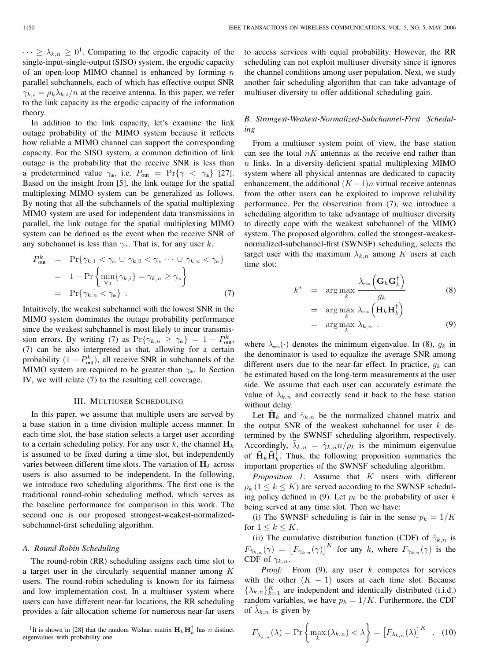$\cdots \geq \lambda_{k,n} \geq 0^1$ . Comparing to the ergodic capacity of the single-input-single-output (SISO) system, the ergodic capacity of an open-loop MIMO channel is enhanced by forming  $n$ parallel subchannels, each of which has effective output SNR  $\gamma_{k,i} = \rho_k \lambda_{k,i}/n$  at the receive antenna. In this paper, we refer to the link capacity as the ergodic capacity of the information theory.

In addition to the link capacity, let's examine the link outage probability of the MIMO system because it reflects how reliable a MIMO channel can support the corresponding capacity. For the SISO system, a common definition of link outage is the probability that the receive SNR is less than a predetermined value  $\gamma_{th}$ , i.e.  $P_{out} = \Pr{\gamma < \gamma_{th}}$  [27]. Based on the insight from [5], the link outage for the spatial multiplexing MIMO system can be generalized as follows. By noting that all the subchannels of the spatial multiplexing MIMO system are used for independent data transmissions in parallel, the link outage for the spatial multiplexing MIMO system can be defined as the event when the receive SNR of any subchannel is less than  $\gamma_{th}$ . That is, for any user k,

$$
P_{\text{out}}^{k} = \Pr{\gamma_{k,1} < \gamma_{\text{th}} \cup \gamma_{k,2} < \gamma_{\text{th}} \cdots \cup \gamma_{k,n} < \gamma_{\text{th}}\}
$$
\n
$$
= 1 - \Pr{\min_{\forall i} \{\gamma_{k,i}\} = \gamma_{k,n} \ge \gamma_{\text{th}}\}}
$$
\n
$$
= \Pr{\gamma_{k,n} < \gamma_{\text{th}}\} . \tag{7}
$$

Intuitively, the weakest subchannel with the lowest SNR in the MIMO system dominates the outage probability performance since the weakest subchannel is most likely to incur transmission errors. By writing (7) as  $Pr{\gamma_{k,n} \geq \gamma_{\text{th}}} = 1 - P_{\text{out}}^k$ , (7) can be also interpreted as that, allowing for a certain probability  $(1 - P_{out}^k)$ , all receive SNR in subchannels of the MIMO system are required to be greater than  $\gamma_{th}$ . In Section IV, we will relate (7) to the resulting cell coverage.

## III. MULTIUSER SCHEDULING

In this paper, we assume that multiple users are served by a base station in a time division multiple access manner. In each time slot, the base station selects a target user according to a certain scheduling policy. For any user  $k$ , the channel  $H_k$ is assumed to be fixed during a time slot, but independently varies between different time slots. The variation of  $\mathbf{H}_k$  across users is also assumed to be independent. In the following, we introduce two scheduling algorithms. The first one is the traditional round-robin scheduling method, which serves as the baseline performance for comparison in this work. The second one is our proposed strongest-weakest-normalizedsubchannel-first scheduling algorithm.

## *A. Round-Robin Scheduling*

The round-robin (RR) scheduling assigns each time slot to a target user in the circularly sequential manner among K users. The round-robin scheduling is known for its fairness and low implementation cost. In a multiuser system where users can have different near-far locations, the RR scheduling provides a fair allocation scheme for numerous near-far users

<sup>1</sup>It is shown in [28] that the random Wishart matrix  $\mathbf{H}_k \mathbf{H}_k^{\dagger}$  has n distinct eigenvalues with probability one.

to access services with equal probability. However, the RR scheduling can not exploit multiuser diversity since it ignores the channel conditions among user population. Next, we study another fair scheduling algorithm that can take advantage of multiuser diversity to offer additional scheduling gain.

## *B. Strongest-Weakest-Normalized-Subchannel-First Scheduling*

From a multiuser system point of view, the base station can see the total  $nK$  antennas at the receive end rather than  $n$  links. In a diversity-deficient spatial multiplexing MIMO system where all physical antennas are dedicated to capacity enhancement, the additional  $(K-1)n$  virtual receive antennas from the other users can be exploited to improve reliability performance. Per the observation from (7), we introduce a scheduling algorithm to take advantage of multiuser diversity to directly cope with the weakest subchannel of the MIMO system. The proposed algorithm, called the strongest-weakestnormalized-subchannel-first (SWNSF) scheduling, selects the target user with the maximum  $\lambda_{k,n}$  among K users at each time slot:

$$
k^* = \arg \max_{k} \frac{\lambda_{\min} (\mathbf{G}_k \mathbf{G}_k^{\dagger})}{g_k}
$$
  
= 
$$
\arg \max_{k} \lambda_{\min} (\mathbf{H}_k \mathbf{H}_k^{\dagger})
$$
  
= 
$$
\arg \max_{k} \lambda_{k,n} .
$$
 (9)

where  $\lambda_{\min}(\cdot)$  denotes the minimum eigenvalue. In (8),  $g_k$  in the denominator is used to equalize the average SNR among different users due to the near-far effect. In practice,  $q_k$  can be estimated based on the long-term measurements at the user side. We assume that each user can accurately estimate the value of  $\lambda_{k,n}$  and correctly send it back to the base station without delay.

Let  $H_k$  and  $\tilde{\gamma}_{k,n}$  be the normalized channel matrix and the output SNR of the weakest subchannel for user  $k$  determined by the SWNSF scheduling algorithm, respectively. Accordingly,  $\tilde{\lambda}_{k,n} = \tilde{\gamma}_{k,n} n/\rho_k$  is the minimum eigenvalue of  $\tilde{\mathbf{H}}_k \tilde{\mathbf{H}}_k^{\dagger}$ . Thus, the following proposition summaries the important properties of the SWNSF scheduling algorithm.

*Proposition 1:* Assume that K users with different  $\rho_k$  ( $1 \leq k \leq K$ ) are served according to the SWNSF scheduling policy defined in (9). Let  $p_k$  be the probability of user k being served at any time slot. Then we have:

(i) The SWNSF scheduling is fair in the sense  $p_k = 1/K$ for  $1 \leq k \leq K$ .

(ii) The cumulative distribution function (CDF) of  $\tilde{\gamma}_{k,n}$  is  $F_{\tilde{\gamma}_{k,n}}(\gamma) = \left[F_{\gamma_{k,n}}(\gamma)\right]^K$  for any k, where  $F_{\gamma_{k,n}}(\gamma)$  is the CDF of  $\gamma_{k,n}$ .

*Proof:* From (9), any user k competes for services with the other  $(K - 1)$  users at each time slot. Because  $\{\lambda_{k,n}\}_{k=1}^K$  are independent and identically distributed (i.i.d.) random variables, we have  $p_k = 1/K$ . Furthermore, the CDF of  $\lambda_{k,n}$  is given by

$$
F_{\tilde{\lambda}_{k,n}}(\lambda) = \Pr\left\{ \max_{k} \left( \lambda_{k,n} \right) < \lambda \right\} = \left[ F_{\lambda_{k,n}}(\lambda) \right]^K \quad . \quad (10)
$$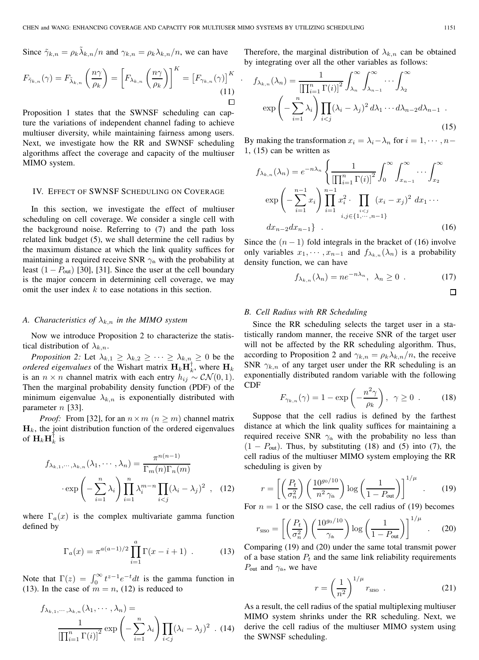Since 
$$
\tilde{\gamma}_{k,n} = \rho_k \tilde{\lambda}_{k,n}/n
$$
 and  $\gamma_{k,n} = \rho_k \lambda_{k,n}/n$ , we can have

$$
F_{\tilde{\gamma}_{k,n}}(\gamma) = F_{\tilde{\lambda}_{k,n}}\left(\frac{n\gamma}{\rho_k}\right) = \left[F_{\lambda_{k,n}}\left(\frac{n\gamma}{\rho_k}\right)\right]^K = \left[F_{\gamma_{k,n}}(\gamma)\right]^K \quad . \tag{11}
$$

Proposition 1 states that the SWNSF scheduling can capture the variations of independent channel fading to achieve multiuser diversity, while maintaining fairness among users. Next, we investigate how the RR and SWNSF scheduling algorithms affect the coverage and capacity of the multiuser MIMO system.

### IV. EFFECT OF SWNSF SCHEDULING ON COVERAGE

In this section, we investigate the effect of multiuser scheduling on cell coverage. We consider a single cell with the background noise. Referring to (7) and the path loss related link budget (5), we shall determine the cell radius by the maximum distance at which the link quality suffices for maintaining a required receive SNR  $\gamma_{th}$  with the probability at least  $(1 - P_{\text{out}})$  [30], [31]. Since the user at the cell boundary is the major concern in determining cell coverage, we may omit the user index  $k$  to ease notations in this section.

## *A. Characteristics of*  $\lambda_{k,n}$  *in the MIMO system*

Now we introduce Proposition 2 to characterize the statistical distribution of  $\lambda_{k,n}$ .

*Proposition 2:* Let  $\lambda_{k,1} \geq \lambda_{k,2} \geq \cdots \geq \lambda_{k,n} \geq 0$  be the *ordered eigenvalues* of the Wishart matrix  $\mathbf{H}_k \mathbf{H}_k^{\dagger}$ , where  $\mathbf{H}_k$ is an  $n \times n$  channel matrix with each entry  $h_{ij} \sim \mathcal{CN}(0, 1)$ . Then the marginal probability density function (PDF) of the minimum eigenvalue  $\lambda_{k,n}$  is exponentially distributed with parameter  $n$  [33].

*Proof:* From [32], for an  $n \times m$  ( $n \ge m$ ) channel matrix  $\mathbf{H}_k$ , the joint distribution function of the ordered eigenvalues of  $\mathbf{H}_k \mathbf{H}_k^{\dagger}$  is

$$
f_{\lambda_{k,1},\dots,\lambda_{k,n}}(\lambda_1,\dots,\lambda_n) = \frac{\pi^{n(n-1)}}{\Gamma_m(n)\Gamma_n(m)}
$$

$$
\cdot \exp\left(-\sum_{i=1}^n \lambda_i\right) \prod_{i=1}^n \lambda_i^{m-n} \prod_{i < j} (\lambda_i - \lambda_j)^2 \quad , \quad (12)
$$

where  $\Gamma_a(x)$  is the complex multivariate gamma function defined by

$$
\Gamma_a(x) = \pi^{a(a-1)/2} \prod_{i=1}^a \Gamma(x - i + 1) \tag{13}
$$

Note that  $\Gamma(z) = \int_0^\infty t^{z-1} e^{-t} dt$  is the gamma function in (13). In the case of  $m = n$ , (12) is reduced to

$$
f_{\lambda_{k,1},\dots,\lambda_{k,n}}(\lambda_1,\dots,\lambda_n) = \frac{1}{\left[\prod_{i=1}^n \Gamma(i)\right]^2} \exp\left(-\sum_{i=1}^n \lambda_i\right) \prod_{i < j} (\lambda_i - \lambda_j)^2 \quad . \tag{14}
$$

Therefore, the marginal distribution of  $\lambda_{k,n}$  can be obtained by integrating over all the other variables as follows:

$$
f_{\lambda_{k,n}}(\lambda_n) = \frac{1}{\left[\prod_{i=1}^n \Gamma(i)\right]^2} \int_{\lambda_n}^{\infty} \int_{\lambda_{n-1}}^{\infty} \cdots \int_{\lambda_2}^{\infty} \exp\left(-\sum_{i=1}^n \lambda_i\right) \prod_{i < j} (\lambda_i - \lambda_j)^2 d\lambda_1 \cdots d\lambda_{n-2} d\lambda_{n-1} \tag{15}
$$

By making the transformation  $x_i = \lambda_i - \lambda_n$  for  $i = 1, \dots, n-$ 1, (15) can be written as

$$
f_{\lambda_{k,n}}(\lambda_n) = e^{-n\lambda_n} \left\{ \frac{1}{\left[\prod_{i=1}^n \Gamma(i)\right]^2} \int_0^\infty \int_{x_{n-1}}^\infty \cdots \int_{x_2}^\infty \exp\left(-\sum_{i=1}^{n-1} x_i\right) \prod_{i=1}^{n-1} x_i^2 \cdot \prod_{\substack{i < j \\ i,j \in \{1, \cdots, n-1\}}} (x_i - x_j)^2 \, dx_1 \cdots \right\}
$$
\n
$$
dx_{n-2} dx_{n-1} \right\} . \tag{16}
$$

Since the  $(n - 1)$  fold integrals in the bracket of (16) involve only variables  $x_1, \dots, x_{n-1}$  and  $f_{\lambda_{k,n}}(\lambda_n)$  is a probability density function, we can have

$$
f_{\lambda_{k,n}}(\lambda_n) = n e^{-n\lambda_n}, \ \lambda_n \ge 0 \ . \tag{17}
$$

$$
\Box
$$

## *B. Cell Radius with RR Scheduling*

Since the RR scheduling selects the target user in a statistically random manner, the receive SNR of the target user will not be affected by the RR scheduling algorithm. Thus, according to Proposition 2 and  $\gamma_{k,n} = \rho_k \lambda_{k,n}/n$ , the receive SNR  $\gamma_{k,n}$  of any target user under the RR scheduling is an exponentially distributed random variable with the following CDF

$$
F_{\gamma_{k,n}}(\gamma) = 1 - \exp\left(-\frac{n^2\gamma}{\rho_k}\right), \ \ \gamma \ge 0 \ \ . \tag{18}
$$

Suppose that the cell radius is defined by the farthest distance at which the link quality suffices for maintaining a required receive SNR  $\gamma_{th}$  with the probability no less than  $(1 - P_{out})$ . Thus, by substituting (18) and (5) into (7), the cell radius of the multiuser MIMO system employing the RR scheduling is given by

$$
r = \left[ \left( \frac{P_t}{\sigma_n^2} \right) \left( \frac{10^{g_0/10}}{n^2 \gamma_{\text{th}}} \right) \log \left( \frac{1}{1 - P_{\text{out}}} \right) \right]^{1/\mu} . \tag{19}
$$

For  $n = 1$  or the SISO case, the cell radius of (19) becomes

$$
r_{\rm SISO} = \left[ \left( \frac{P_t}{\sigma_n^2} \right) \left( \frac{10^{g_0/10}}{\gamma_{\rm th}} \right) \log \left( \frac{1}{1 - P_{\rm out}} \right) \right]^{1/\mu} \quad . \tag{20}
$$

Comparing (19) and (20) under the same total transmit power of a base station  $P_t$  and the same link reliability requirements  $P_{\text{out}}$  and  $\gamma_{\text{th}}$ , we have

$$
r = \left(\frac{1}{n^2}\right)^{1/\mu} r_{\rm siso} \tag{21}
$$

As a result, the cell radius of the spatial multiplexing multiuser MIMO system shrinks under the RR scheduling. Next, we derive the cell radius of the multiuser MIMO system using the SWNSF scheduling.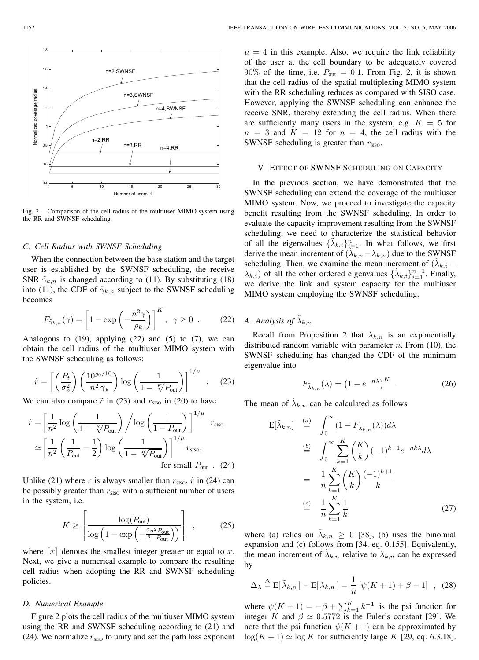

Fig. 2. Comparison of the cell radius of the multiuser MIMO system using the RR and SWNSF scheduling.

## *C. Cell Radius with SWNSF Scheduling*

When the connection between the base station and the target user is established by the SWNSF scheduling, the receive SNR  $\tilde{\gamma}_{k,n}$  is changed according to (11). By substituting (18) into (11), the CDF of  $\tilde{\gamma}_{k,n}$  subject to the SWNSF scheduling becomes

$$
F_{\tilde{\gamma}_{k,n}}(\gamma) = \left[1 - \exp\left(-\frac{n^2 \gamma}{\rho_k}\right)\right]^K, \ \ \gamma \ge 0 \ \ . \tag{22}
$$

Analogous to  $(19)$ , applying  $(22)$  and  $(5)$  to  $(7)$ , we can obtain the cell radius of the multiuser MIMO system with the SWNSF scheduling as follows:

$$
\tilde{r} = \left[ \left( \frac{P_t}{\sigma_n^2} \right) \left( \frac{10^{g_0/10}}{n^2 \gamma_{\text{th}}} \right) \log \left( \frac{1}{1 - \sqrt[K]{P_{\text{out}}}} \right) \right]^{1/\mu} . \tag{23}
$$

We can also compare  $\tilde{r}$  in (23) and  $r_{\rm SISO}$  in (20) to have

$$
\tilde{r} = \left[\frac{1}{n^2} \log \left(\frac{1}{1 - \sqrt[\kappa]{P_{\text{out}}}}\right) / \log \left(\frac{1}{1 - P_{\text{out}}}\right) \right]^{1/\mu} r_{\text{sso}}
$$

$$
\simeq \left[\frac{1}{n^2} \left(\frac{1}{P_{\text{out}}} - \frac{1}{2}\right) \log \left(\frac{1}{1 - \sqrt[\kappa]{P_{\text{out}}}}\right) \right]^{1/\mu} r_{\text{sso}},
$$
for small  $P_{\text{out}}$ . (24)

Unlike (21) where r is always smaller than  $r_{\rm siso}$ ,  $\tilde{r}$  in (24) can be possibly greater than  $r_{\text{SISO}}$  with a sufficient number of users in the system, i.e.

$$
K \ge \left\lceil \frac{\log(P_{\text{out}})}{\log\left(1 - \exp\left(-\frac{2n^2 P_{\text{out}}}{2 - P_{\text{out}}}\right)\right)} \right\rceil , \qquad (25)
$$

where  $\lceil x \rceil$  denotes the smallest integer greater or equal to x. Next, we give a numerical example to compare the resulting cell radius when adopting the RR and SWNSF scheduling policies.

## *D. Numerical Example*

Figure 2 plots the cell radius of the multiuser MIMO system using the RR and SWNSF scheduling according to (21) and (24). We normalize  $r_{\rm siso}$  to unity and set the path loss exponent  $\mu = 4$  in this example. Also, we require the link reliability of the user at the cell boundary to be adequately covered  $90\%$  of the time, i.e.  $P_{\text{out}} = 0.1$ . From Fig. 2, it is shown that the cell radius of the spatial multiplexing MIMO system with the RR scheduling reduces as compared with SISO case. However, applying the SWNSF scheduling can enhance the receive SNR, thereby extending the cell radius. When there are sufficiently many users in the system, e.g.  $K = 5$  for  $n = 3$  and  $K = 12$  for  $n = 4$ , the cell radius with the SWNSF scheduling is greater than  $r<sub>siso</sub>$ .

## V. EFFECT OF SWNSF SCHEDULING ON CAPACITY

In the previous section, we have demonstrated that the SWNSF scheduling can extend the coverage of the multiuser MIMO system. Now, we proceed to investigate the capacity benefit resulting from the SWNSF scheduling. In order to evaluate the capacity improvement resulting from the SWNSF scheduling, we need to characterize the statistical behavior of all the eigenvalues  $\{\tilde{\lambda}_{k,i}\}_{i=1}^n$ . In what follows, we first derive the mean increment of  $(\tilde{\lambda}_{k,n}-\lambda_{k,n})$  due to the SWNSF scheduling. Then, we examine the mean increment of  $(\lambda_{k,i} \lambda_{k,i}$ ) of all the other ordered eigenvalues  $\{\tilde{\lambda}_{k,i}\}_{i=1}^{n-1}$ . Finally, we derive the link and system capacity for the multiuser MIMO system employing the SWNSF scheduling.

## *A. Analysis of*  $\lambda_{k,n}$

Recall from Proposition 2 that  $\lambda_{k,n}$  is an exponentially distributed random variable with parameter  $n$ . From (10), the SWNSF scheduling has changed the CDF of the minimum eigenvalue into

$$
F_{\tilde{\lambda}_{k,n}}(\lambda) = \left(1 - e^{-n\lambda}\right)^K \quad . \tag{26}
$$

The mean of  $\lambda_{k,n}$  can be calculated as follows

$$
E[\tilde{\lambda}_{k,n}] \stackrel{(a)}{=} \int_0^\infty (1 - F_{\tilde{\lambda}_{k,n}}(\lambda)) d\lambda
$$
  
\n
$$
\stackrel{(b)}{=} \int_0^\infty \sum_{k=1}^K \binom{K}{k} (-1)^{k+1} e^{-nk\lambda} d\lambda
$$
  
\n
$$
= \frac{1}{n} \sum_{k=1}^K \binom{K}{k} \frac{(-1)^{k+1}}{k}
$$
  
\n
$$
\stackrel{(c)}{=} \frac{1}{n} \sum_{k=1}^K \frac{1}{k}
$$
 (27)

where (a) relies on  $\tilde{\lambda}_{k,n} \geq 0$  [38], (b) uses the binomial expansion and (c) follows from [34, eq. 0.155]. Equivalently, the mean increment of  $\lambda_{k,n}$  relative to  $\lambda_{k,n}$  can be expressed by

$$
\Delta_{\lambda} \stackrel{\Delta}{=} \mathbf{E}[\tilde{\lambda}_{k,n}] - \mathbf{E}[\lambda_{k,n}] = \frac{1}{n} [\psi(K+1) + \beta - 1], \quad (28)
$$

where  $\psi(K + 1) = -\beta + \sum_{k=1}^{K} k^{-1}$  is the psi function for integer K and  $\beta \simeq 0.5772$  is the Euler's constant [29]. We note that the psi function  $\psi(K + 1)$  can be approximated by  $\log(K + 1) \simeq \log K$  for sufficiently large K [29, eq. 6.3.18].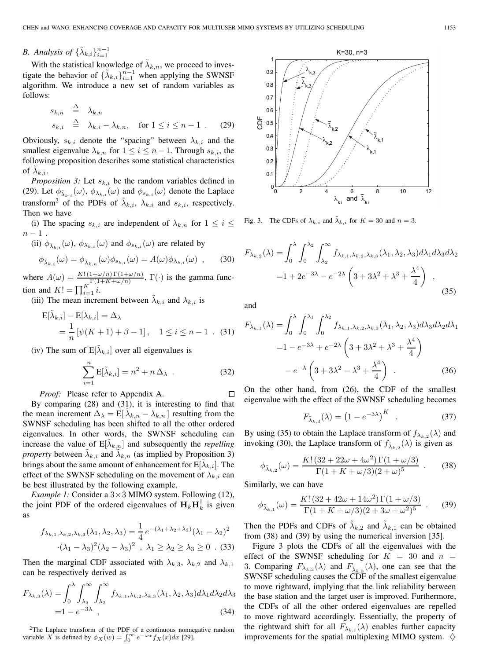## *B. Analysis of*  $\{\tilde{\lambda}_{k,i}\}_{i=1}^{n-1}$

With the statistical knowledge of  $\tilde{\lambda}_{k,n}$ , we proceed to investigate the behavior of  $\{\tilde{\lambda}_{k,i}\}_{i=1}^{n-1}$  when applying the SWNSF algorithm. We introduce a new set of random variables as follows:

$$
s_{k,n} \stackrel{\Delta}{=} \lambda_{k,n}
$$
  
\n
$$
s_{k,i} \stackrel{\Delta}{=} \lambda_{k,i} - \lambda_{k,n}, \quad \text{for } 1 \le i \le n-1 .
$$
 (29)

Obviously,  $s_{k,i}$  denote the "spacing" between  $\lambda_{k,i}$  and the smallest eigenvalue  $\lambda_{k,n}$  for  $1 \leq i \leq n-1$ . Through  $s_{k,i}$ , the following proposition describes some statistical characteristics of  $\lambda_{k,i}$ .

*Proposition 3:* Let  $s_{k,i}$  be the random variables defined in (29). Let  $\phi_{\tilde{\lambda}_{k,i}}(\omega)$ ,  $\phi_{\lambda_{k,i}}(\omega)$  and  $\phi_{s_{k,i}}(\omega)$  denote the Laplace transform<sup>2</sup> of the PDFs of  $\lambda_{k,i}$ ,  $\lambda_{k,i}$  and  $s_{k,i}$ , respectively. Then we have

(i) The spacing  $s_{k,i}$  are independent of  $\lambda_{k,n}$  for  $1 \leq i \leq$  $n-1$ .

(ii) 
$$
\phi_{\tilde{\lambda}_{k,i}}(\omega)
$$
,  $\phi_{\lambda_{k,i}}(\omega)$  and  $\phi_{s_{k,i}}(\omega)$  are related by

$$
\phi_{\tilde{\lambda}_{k,i}}(\omega) = \phi_{\tilde{\lambda}_{k,n}}(\omega)\phi_{s_{k,i}}(\omega) = A(\omega)\phi_{\lambda_{k,i}}(\omega) ,
$$
 (30)

where  $A(\omega) = \frac{K! (1+\omega/n) \Gamma(1+\omega/n)}{\Gamma(1+K+\omega/n)}, \Gamma(\cdot)$  is the gamma function and  $K! = \prod_{i=1}^{K} i$ .

(iii) The mean increment between  $\lambda_{k,i}$  and  $\lambda_{k,i}$  is

$$
\begin{aligned} \mathcal{E}[\tilde{\lambda}_{k,i}] - \mathcal{E}[\lambda_{k,i}] &= \Delta_{\lambda} \\ &= \frac{1}{n} \left[ \psi(K+1) + \beta - 1 \right], \quad 1 \le i \le n-1 \quad . \quad (31) \end{aligned}
$$

(iv) The sum of  $E[\lambda_{k,i}]$  over all eigenvalues is

$$
\sum_{i=1}^{n} \mathbf{E}[\tilde{\lambda}_{k,i}] = n^2 + n \Delta_{\lambda} . \qquad (32)
$$

*Proof:* Please refer to Appendix A.

By comparing (28) and (31), it is interesting to find that the mean increment  $\Delta_{\lambda} = E[\lambda_{k,n} - \lambda_{k,n}]$  resulting from the SWNSF scheduling has been shifted to all the other ordered eigenvalues. In other words, the SWNSF scheduling can increase the value of  $E[\lambda_{k,n}]$  and subsequently the *repelling property* between  $\lambda_{k,i}$  and  $\lambda_{k,n}$  (as implied by Proposition 3) brings about the same amount of enhancement for  $E[\lambda_{k,i}]$ . The effect of the SWNSF scheduling on the movement of  $\lambda_{k,i}$  can be best illustrated by the following example.

*Example 1:* Consider a  $3 \times 3$  MIMO system. Following (12), the joint PDF of the ordered eigenvalues of  $H_k H_k^{\dagger}$  is given as

$$
f_{\lambda_{k,1},\lambda_{k,2},\lambda_{k,3}}(\lambda_1,\lambda_2,\lambda_3) = \frac{1}{4}e^{-(\lambda_1+\lambda_2+\lambda_3)}(\lambda_1-\lambda_2)^2
$$

$$
(\lambda_1-\lambda_3)^2(\lambda_2-\lambda_3)^2, \lambda_1 \ge \lambda_2 \ge \lambda_3 \ge 0. (33)
$$

Then the marginal CDF associated with  $\lambda_{k,3}$ ,  $\lambda_{k,2}$  and  $\lambda_{k,1}$ can be respectively derived as

$$
F_{\lambda_{k,3}}(\lambda) = \int_0^{\lambda} \int_{\lambda_3}^{\infty} \int_{\lambda_2}^{\infty} f_{\lambda_{k,1},\lambda_{k,2},\lambda_{k,3}}(\lambda_1, \lambda_2, \lambda_3) d\lambda_1 d\lambda_2 d\lambda_3
$$
  
= 1 - e<sup>-3\lambda</sup> , (34)

 $2$ The Laplace transform of the PDF of a continuous nonnegative random variable X is defined by  $\phi_X(w) = \int_0^\infty e^{-\omega x} f_X(x) dx$  [29].



Fig. 3. The CDFs of  $\lambda_{k,i}$  and  $\lambda_{k,i}$  for  $K = 30$  and  $n = 3$ .

$$
F_{\lambda_{k,2}}(\lambda) = \int_0^{\lambda} \int_0^{\lambda_2} \int_{\lambda_2}^{\infty} f_{\lambda_{k,1},\lambda_{k,2},\lambda_{k,3}}(\lambda_1, \lambda_2, \lambda_3) d\lambda_1 d\lambda_3 d\lambda_2
$$
  
= 1 + 2e<sup>-3\lambda</sup> - e<sup>-2\lambda</sup>  $\left(3 + 3\lambda^2 + \lambda^3 + \frac{\lambda^4}{4}\right)$ , (35)

and

П

$$
F_{\lambda_{k,1}}(\lambda) = \int_0^{\lambda} \int_0^{\lambda_1} \int_0^{\lambda_2} f_{\lambda_{k,1},\lambda_{k,2},\lambda_{k,3}}(\lambda_1, \lambda_2, \lambda_3) d\lambda_3 d\lambda_2 d\lambda_1
$$
  
= 1 - e<sup>-3\lambda</sup> + e<sup>-2\lambda</sup>  $\left(3 + 3\lambda^2 + \lambda^3 + \frac{\lambda^4}{4}\right)$   
- e<sup>-\lambda</sup>  $\left(3 + 3\lambda^2 - \lambda^3 + \frac{\lambda^4}{4}\right)$ . (36)

On the other hand, from (26), the CDF of the smallest eigenvalue with the effect of the SWNSF scheduling becomes

$$
F_{\tilde{\lambda}_{k,3}}(\lambda) = \left(1 - e^{-3\lambda}\right)^K \quad . \tag{37}
$$

By using (35) to obtain the Laplace transform of  $f_{\lambda_{k,2}}(\lambda)$  and invoking (30), the Laplace transform of  $f_{\tilde{\lambda}_{k,2}}(\lambda)$  is given as

$$
\phi_{\tilde{\lambda}_{k,2}}(\omega) = \frac{K! \left(32 + 22\omega + 4\omega^2\right) \Gamma(1 + \omega/3)}{\Gamma(1 + K + \omega/3)(2 + \omega)^5} \ . \tag{38}
$$

Similarly, we can have

$$
\phi_{\tilde{\lambda}_{k,1}}(\omega) = \frac{K! \left(32 + 42\omega + 14\omega^2\right) \Gamma(1 + \omega/3)}{\Gamma(1 + K + \omega/3)(2 + 3\omega + \omega^2)^5} \quad . \tag{39}
$$

Then the PDFs and CDFs of  $\lambda_{k,2}$  and  $\lambda_{k,1}$  can be obtained from (38) and (39) by using the numerical inversion [35].

Figure 3 plots the CDFs of all the eigenvalues with the effect of the SWNSF scheduling for  $K = 30$  and  $n =$ 3. Comparing  $F_{\lambda_{k,3}}(\lambda)$  and  $F_{\lambda_{k,3}}(\lambda)$ , one can see that the SWNSF scheduling causes the CDF of the smallest eigenvalue to move rightward, implying that the link reliability between the base station and the target user is improved. Furthermore, the CDFs of all the other ordered eigenvalues are repelled to move rightward accordingly. Essentially, the property of the rightward shift for all  $F_{\lambda_{k,i}}(\lambda)$  enables further capacity improvements for the spatial multiplexing MIMO system.  $\diamondsuit$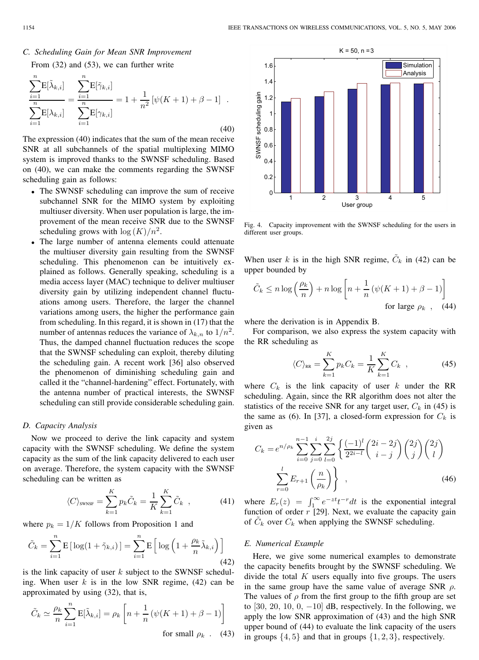## *C. Scheduling Gain for Mean SNR Improvement* From (32) and (53), we can further write

$$
\frac{\sum_{i=1}^{n} E[\tilde{\lambda}_{k,i}]}{\sum_{i=1}^{n} E[\lambda_{k,i}]} = \frac{\sum_{i=1}^{n} E[\tilde{\gamma}_{k,i}]}{\sum_{i=1}^{n} E[\gamma_{k,i}]} = 1 + \frac{1}{n^2} [\psi(K+1) + \beta - 1] .
$$
\n(40)

The expression (40) indicates that the sum of the mean receive SNR at all subchannels of the spatial multiplexing MIMO system is improved thanks to the SWNSF scheduling. Based on (40), we can make the comments regarding the SWNSF scheduling gain as follows:

- The SWNSF scheduling can improve the sum of receive subchannel SNR for the MIMO system by exploiting multiuser diversity. When user population is large, the improvement of the mean receive SNR due to the SWNSF scheduling grows with  $\log(K)/n^2$ .
- The large number of antenna elements could attenuate the multiuser diversity gain resulting from the SWNSF scheduling. This phenomenon can be intuitively explained as follows. Generally speaking, scheduling is a media access layer (MAC) technique to deliver multiuser diversity gain by utilizing independent channel fluctuations among users. Therefore, the larger the channel variations among users, the higher the performance gain from scheduling. In this regard, it is shown in (17) that the number of antennas reduces the variance of  $\lambda_{k,n}$  to  $1/n^2$ . Thus, the damped channel fluctuation reduces the scope that the SWNSF scheduling can exploit, thereby diluting the scheduling gain. A recent work [36] also observed the phenomenon of diminishing scheduling gain and called it the "channel-hardening" effect. Fortunately, with the antenna number of practical interests, the SWNSF scheduling can still provide considerable scheduling gain.

#### *D. Capacity Analysis*

Now we proceed to derive the link capacity and system capacity with the SWNSF scheduling. We define the system capacity as the sum of the link capacity delivered to each user on average. Therefore, the system capacity with the SWNSF scheduling can be written as

$$
\langle C \rangle_{\text{SWNSF}} = \sum_{k=1}^{K} p_k \tilde{C}_k = \frac{1}{K} \sum_{k=1}^{K} \tilde{C}_k , \qquad (41)
$$

where  $p_k = 1/K$  follows from Proposition 1 and

$$
\tilde{C}_k = \sum_{i=1}^n \mathbf{E} \left[ \log(1 + \tilde{\gamma}_{k,i}) \right] = \sum_{i=1}^n \mathbf{E} \left[ \log \left( 1 + \frac{\rho_k}{n} \tilde{\lambda}_{k,i} \right) \right]
$$
\n(42)

is the link capacity of user  $k$  subject to the SWNSF scheduling. When user  $k$  is in the low SNR regime, (42) can be approximated by using (32), that is,

$$
\tilde{C}_k \simeq \frac{\rho_k}{n} \sum_{i=1}^n \mathbb{E}[\tilde{\lambda}_{k,i}] = \rho_k \left[ n + \frac{1}{n} \left( \psi(K+1) + \beta - 1 \right) \right]
$$
  
for small  $\rho_k$ . (43)



Fig. 4. Capacity improvement with the SWNSF scheduling for the users in different user groups.

When user k is in the high SNR regime,  $C_k$  in (42) can be upper bounded by

$$
\tilde{C}_k \le n \log \left(\frac{\rho_k}{n}\right) + n \log \left[n + \frac{1}{n} \left(\psi(K+1) + \beta - 1\right)\right]
$$
\nfor large  $\rho_k$ , (44)

where the derivation is in Appendix B.

For comparison, we also express the system capacity with the RR scheduling as

$$
\langle C \rangle_{\text{RR}} = \sum_{k=1}^{K} p_k C_k = \frac{1}{K} \sum_{k=1}^{K} C_k \quad , \tag{45}
$$

where  $C_k$  is the link capacity of user k under the RR scheduling. Again, since the RR algorithm does not alter the statistics of the receive SNR for any target user,  $C_k$  in (45) is the same as (6). In [37], a closed-form expression for  $C_k$  is given as

$$
C_k = e^{n/\rho_k} \sum_{i=0}^{n-1} \sum_{j=0}^i \sum_{l=0}^{2j} \left\{ \frac{(-1)^l}{2^{2i-l}} \binom{2i-2j}{i-j} \binom{2j}{j} \binom{2j}{l} \right\}
$$

$$
\sum_{r=0}^l E_{r+1} \left( \frac{n}{\rho_k} \right) \}, \tag{46}
$$

where  $E_r(z) = \int_1^\infty e^{-zt} t^{-r} dt$  is the exponential integral function of order  $r$  [29]. Next, we evaluate the capacity gain of  $C_k$  over  $C_k$  when applying the SWNSF scheduling.

## *E. Numerical Example*

Here, we give some numerical examples to demonstrate the capacity benefits brought by the SWNSF scheduling. We divide the total  $K$  users equally into five groups. The users in the same group have the same value of average SNR  $\rho$ . The values of  $\rho$  from the first group to the fifth group are set to [30, 20, 10, 0,  $-10$ ] dB, respectively. In the following, we apply the low SNR approximation of (43) and the high SNR upper bound of (44) to evaluate the link capacity of the users in groups  $\{4, 5\}$  and that in groups  $\{1, 2, 3\}$ , respectively.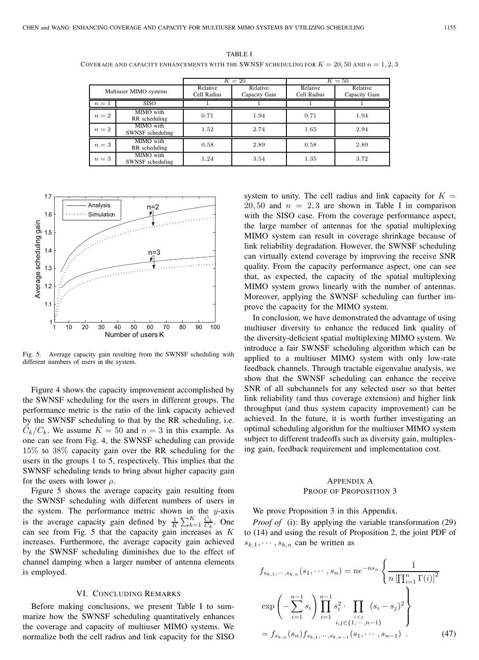| TABLE I                                                                                         |
|-------------------------------------------------------------------------------------------------|
| COVERAGE AND CAPACITY ENHANCEMENTS WITH THE SWNSF SCHEDULING FOR $K = 20, 50$ AND $n = 1, 2, 3$ |

|                        |                               | $K=20$                  |                           | $K=50$                  |                           |
|------------------------|-------------------------------|-------------------------|---------------------------|-------------------------|---------------------------|
| Multiuser MIMO systems |                               | Relative<br>Cell Radius | Relative<br>Capacity Gain | Relative<br>Cell Radius | Relative<br>Capacity Gain |
| $n=1$                  | <b>SISO</b>                   |                         |                           |                         |                           |
| $n=2$                  | MIMO with<br>RR scheduling    | 0.71                    | 1.94                      | 0.71                    | 1.94                      |
| $n=2$                  | MIMO with<br>SWNSF scheduling | 1.52                    | 2.74                      | 1.65                    | 2.94                      |
| $n=3$                  | MIMO with<br>RR scheduling    | 0.58                    | 2.89                      | 0.58                    | 2.89                      |
| $n=3$                  | MIMO with<br>SWNSF scheduling | 1.24                    | 3.54                      | 1.35                    | 3.72                      |



Fig. 5. Average capacity gain resulting from the SWNSF scheduling with different numbers of users in the system.

Figure 4 shows the capacity improvement accomplished by the SWNSF scheduling for the users in different groups. The performance metric is the ratio of the link capacity achieved by the SWNSF scheduling to that by the RR scheduling, i.e.  $C_k/C_k$ . We assume  $K = 50$  and  $n = 3$  in this example. As one can see from Fig. 4, the SWNSF scheduling can provide 15% to 38% capacity gain over the RR scheduling for the users in the groups 1 to 5, respectively. This implies that the SWNSF scheduling tends to bring about higher capacity gain for the users with lower  $\rho$ .

Figure 5 shows the average capacity gain resulting from the SWNSF scheduling with different numbers of users in the system. The performance metric shown in the  $y$ -axis is the average capacity gain defined by  $\frac{1}{K} \sum_{k=1}^{K} \frac{\tilde{C}_k}{C_k}$ . One can see from Fig. 5 that the capacity gain increases as  $K$ increases. Furthermore, the average capacity gain achieved by the SWNSF scheduling diminishes due to the effect of channel damping when a larger number of antenna elements is employed.

## VI. CONCLUDING REMARKS

Before making conclusions, we present Table I to summarize how the SWNSF scheduling quantitatively enhances the coverage and capacity of multiuser MIMO systems. We normalize both the cell radius and link capacity for the SISO system to unity. The cell radius and link capacity for  $K =$  $20, 50$  and  $n = 2, 3$  are shown in Table I in comparison with the SISO case. From the coverage performance aspect, the large number of antennas for the spatial multiplexing MIMO system can result in coverage shrinkage because of link reliability degradation. However, the SWNSF scheduling can virtually extend coverage by improving the receive SNR quality. From the capacity performance aspect, one can see that, as expected, the capacity of the spatial multiplexing MIMO system grows linearly with the number of antennas. Moreover, applying the SWNSF scheduling can further improve the capacity for the MIMO system.

In conclusion, we have demonstrated the advantage of using multiuser diversity to enhance the reduced link quality of the diversity-deficient spatial multiplexing MIMO system. We introduce a fair SWNSF scheduling algorithm which can be applied to a multiuser MIMO system with only low-rate feedback channels. Through tractable eigenvalue analysis, we show that the SWNSF scheduling can enhance the receive SNR of all subchannels for any selected user so that better link reliability (and thus coverage extension) and higher link throughput (and thus system capacity improvement) can be achieved. In the future, it is worth further investigating an optimal scheduling algorithm for the multiuser MIMO system subject to different tradeoffs such as diversity gain, multiplexing gain, feedback requirement and implementation cost.

## APPENDIX A PROOF OF PROPOSITION 3

We prove Proposition 3 in this Appendix.

*Proof of* (i): By applying the variable transformation (29) to (14) and using the result of Proposition 2, the joint PDF of  $s_{k,1}, \dots, s_{k,n}$  can be written as

$$
f_{s_{k,1},\dots,s_{k,n}}(s_1,\dots,s_n) = ne^{-ns_n} \left\{ \frac{1}{n \left[ \prod_{i=1}^n \Gamma(i) \right]^2} \exp \left( -\sum_{i=1}^{n-1} s_i \right) \prod_{i=1}^{n-1} s_i^2 \cdot \prod_{\substack{i < j \\ i,j \in \{1,\dots,n-1\}}} (s_i - s_j)^2 \right\}
$$
\n
$$
= f_{s_{k,n}}(s_n) f_{s_{k,1},\dots,s_{k,n-1}}(s_1,\dots,s_{n-1}) . \tag{47}
$$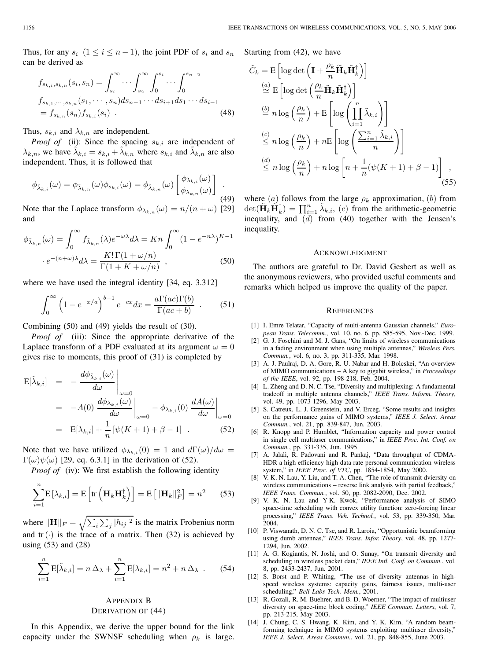Thus, for any  $s_i$   $(1 \le i \le n-1)$ , the joint PDF of  $s_i$  and  $s_n$ can be derived as

$$
f_{s_{k,i},s_{k,n}}(s_i, s_n) = \int_{s_i}^{\infty} \cdots \int_{s_2}^{\infty} \int_0^{s_i} \cdots \int_0^{s_{n-2}} \cdots \int_0^{s_{k-2}} f_{s_{k,1},\cdots,s_{k,n}}(s_1, \cdots, s_n) ds_{n-1} \cdots ds_{i+1} ds_1 \cdots ds_{i-1} = f_{s_{k,n}}(s_n) f_{s_{k,i}}(s_i)
$$
\n(48)

Thus,  $s_{k,i}$  and  $\lambda_{k,n}$  are independent.

*Proof of* (ii): Since the spacing  $s_{k,i}$  are independent of  $\lambda_{k,n}$ , we have  $\lambda_{k,i} = s_{k,i} + \lambda_{k,n}$  where  $s_{k,i}$  and  $\lambda_{k,n}$  are also independent. Thus, it is followed that

$$
\phi_{\tilde{\lambda}_{k,i}}(\omega) = \phi_{\tilde{\lambda}_{k,n}}(\omega)\phi_{s_{k,i}}(\omega) = \phi_{\tilde{\lambda}_{k,n}}(\omega) \left[\frac{\phi_{\lambda_{k,i}}(\omega)}{\phi_{\lambda_{k,n}}(\omega)}\right] \tag{49}
$$

Note that the Laplace transform  $\phi_{\lambda_{k,n}}(\omega) = n/(n+\omega)$  [29] and

$$
\phi_{\tilde{\lambda}_{k,n}}(\omega) = \int_0^\infty f_{\tilde{\lambda}_{k,n}}(\lambda) e^{-\omega \lambda} d\lambda = K n \int_0^\infty (1 - e^{-n\lambda})^{K-1}
$$

$$
\cdot e^{-(n+\omega)\lambda} d\lambda = \frac{K! \Gamma(1+\omega/n)}{\Gamma(1+K+\omega/n)},
$$
(50)

where we have used the integral identity [34, eq. 3.312]

$$
\int_0^\infty \left(1 - e^{-x/a}\right)^{b-1} e^{-cx} dx = \frac{a\Gamma(ac)\Gamma(b)}{\Gamma(ac+b)} \quad . \tag{51}
$$

Combining (50) and (49) yields the result of (30).

*Proof of* (iii): Since the appropriate derivative of the Laplace transform of a PDF evaluated at its argument  $\omega = 0$ gives rise to moments, this proof of (31) is completed by

$$
E[\tilde{\lambda}_{k,i}] = -\frac{d\phi_{\tilde{\lambda}_{k,i}}(\omega)}{d\omega}\Big|_{\omega=0}
$$
  
= -A(0)  $\frac{d\phi_{\lambda_{k,i}}(\omega)}{d\omega}\Big|_{\omega=0} - \phi_{\lambda_{k,i}}(0) \frac{dA(\omega)}{d\omega}\Big|_{\omega=0}$   
= E[\lambda\_{k,i}] +  $\frac{1}{n} [\psi(K+1) + \beta - 1]$ . (52)

Note that we have utilized  $\phi_{\lambda_{k,i}}(0) = 1$  and  $d\Gamma(\omega)/d\omega =$  $\Gamma(\omega)\psi(\omega)$  [29, eq. 6.3.1] in the derivation of (52).

*Proof of* (iv): We first establish the following identity

$$
\sum_{i=1}^{n} \mathbf{E}\left[\lambda_{k,i}\right] = \mathbf{E}\left[\text{tr}\left(\mathbf{H}_{k}\mathbf{H}_{k}^{\dagger}\right)\right] = \mathbf{E}\left[\|\mathbf{H}_{k}\|_{F}^{2}\right] = n^{2} \quad (53)
$$

where  $\|\mathbf{H}\|_F = \sqrt{\sum_i \sum_j |h_{ij}|^2}$  is the matrix Frobenius norm and  $tr(\cdot)$  is the trace of a matrix. Then (32) is achieved by using (53) and (28)

$$
\sum_{i=1}^{n} \mathbf{E}[\tilde{\lambda}_{k,i}] = n \Delta_{\lambda} + \sum_{i=1}^{n} \mathbf{E}[\lambda_{k,i}] = n^2 + n \Delta_{\lambda} . \quad (54)
$$

## APPENDIX B DERIVATION OF (44)

In this Appendix, we derive the upper bound for the link capacity under the SWNSF scheduling when  $\rho_k$  is large. Starting from (42), we have

$$
\tilde{C}_k = \mathbf{E} \left[ \log \det \left( \mathbf{I} + \frac{\rho_k}{n} \tilde{\mathbf{H}}_k \tilde{\mathbf{H}}_k^{\dagger} \right) \right]
$$
\n
$$
\stackrel{(a)}{\simeq} \mathbf{E} \left[ \log \det \left( \frac{\rho_k}{n} \tilde{\mathbf{H}}_k \tilde{\mathbf{H}}_k^{\dagger} \right) \right]
$$
\n
$$
\stackrel{(b)}{=} n \log \left( \frac{\rho_k}{n} \right) + \mathbf{E} \left[ \log \left( \prod_{i=1}^n \tilde{\lambda}_{k,i} \right) \right]
$$
\n
$$
\stackrel{(c)}{\leq} n \log \left( \frac{\rho_k}{n} \right) + n \mathbf{E} \left[ \log \left( \frac{\sum_{i=1}^n \tilde{\lambda}_{k,i}}{n} \right) \right]
$$
\n
$$
\stackrel{(d)}{\leq} n \log \left( \frac{\rho_k}{n} \right) + n \log \left[ n + \frac{1}{n} (\psi(K+1) + \beta - 1) \right],
$$
\n(55)

where (a) follows from the large  $\rho_k$  approximation, (b) from  $\det(\tilde{\mathbf{H}}_k \tilde{\mathbf{H}}_k^{\dagger}) = \prod_{i=1}^n \tilde{\lambda}_{k,i}$ , (c) from the arithmetic-geometric inequality, and (d) from (40) together with the Jensen's inequality.

#### ACKNOWLEDGMENT

The authors are grateful to Dr. David Gesbert as well as the anonymous reviewers, who provided useful comments and remarks which helped us improve the quality of the paper.

#### **REFERENCES**

- [1] I. Emre Telatar, "Capacity of multi-antenna Gaussian channels," *European Trans. Telecomm.*, vol. 10, no. 6, pp. 585-595, Nov.-Dec. 1999.
- [2] G. J. Foschini and M. J. Gans, "On limits of wireless communications in a fading environment when using multiple antennas," *Wireless Pers. Commun.*, vol. 6, no. 3, pp. 311-335, Mar. 1998.
- [3] A. J. Paulraj, D. A. Gore, R. U. Nabar and H. Bolcskei, "An overview of MIMO communications – A key to gigabit wireless," in *Proceedings of the IEEE*, vol. 92, pp. 198-218, Feb. 2004.
- [4] L. Zheng and D. N. C. Tse, "Diversity and multiplexing: A fundamental tradeoff in multiple antenna channels," *IEEE Trans. Inform. Theory*, vol. 49, pp. 1073-1296, May 2003.
- [5] S. Catreux, L. J. Greenstein, and V. Erceg, "Some results and insights on the performance gains of MIMO systems," *IEEE J. Select. Areas Commun.*, vol. 21, pp. 839-847, Jun. 2003.
- [6] R. Knopp and P. Humblet, "Information capacity and power control in single cell multiuser communications," in *IEEE Proc. Int. Conf. on Commun.*, pp. 331-335, Jun. 1995.
- [7] A. Jalali, R. Padovani and R. Pankaj, "Data throughput of CDMA-HDR a high efficiency high data rate personal communication wireless system," in *IEEE Proc. of VTC*, pp. 1854-1854, May 2000.
- [8] V. K. N. Lau, Y. Liu, and T. A. Chen, "The role of transmit dviersity on wireless communications – reverse link analysis with partial feedback," *IEEE Trans. Commun.*, vol. 50, pp. 2082-2090, Dec. 2002.
- [9] V. K. N. Lau and Y-K. Kwok, "Performance analysis of SIMO space-time scheduling with convex utility function: zero-forcing linear processing," *IEEE Trans. Veh. Technol.*, vol. 53, pp. 339-350, Mar. 2004.
- [10] P. Viswanath, D. N. C. Tse, and R. Laroia, "Opportunistic beamforming using dumb antennas," *IEEE Trans. Infor. Theory*, vol. 48, pp. 1277- 1294, Jun. 2002.
- [11] A. G. Kogiantis, N. Joshi, and O. Sunay, "On transmit diversity and scheduling in wireless packet data," *IEEE Intl. Conf. on Commun.*, vol. 8, pp. 2433-2437, Jun. 2001.
- [12] S. Borst and P. Whiting, "The use of diversity antennas in highspeed wireless systems: capacity gains, fairness issues, multi-user scheduling," *Bell Labs Tech. Mem.*, 2001.
- [13] R. Gozali, R. M. Buehrer, and B. D. Woerner, "The impact of multiuser diversity on space-time block coding," *IEEE Commun. Letters*, vol. 7, pp. 213-215, May 2003.
- [14] J. Chung, C. S. Hwang, K. Kim, and Y. K. Kim, "A random beamforming technique in MIMO systems exploiting multiuser diversity," *IEEE J. Select. Areas Commun.*, vol. 21, pp. 848-855, June 2003.